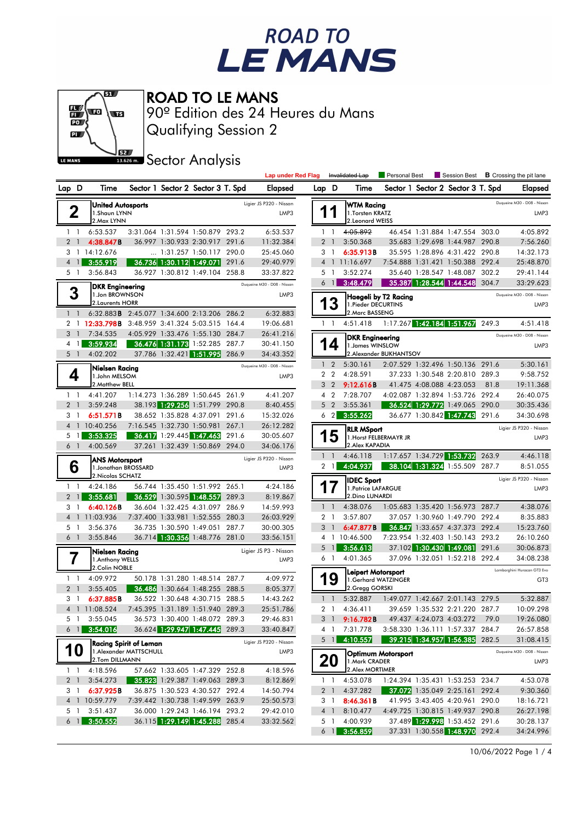



ROAD TO LE MANS

Qualifying Session 2 90º Edition des 24 Heures du Mans

**J**<br>Issuem Sector Analysis

|                            |                |                                                             |                                                         |                                                                  |       | <b>Lap under Red Flag</b>       |       |                 | Invalidated Lap                                           | <b>Personal Best</b>    | Session Best                                                       |       | <b>B</b> Crossing the pit lane                 |
|----------------------------|----------------|-------------------------------------------------------------|---------------------------------------------------------|------------------------------------------------------------------|-------|---------------------------------|-------|-----------------|-----------------------------------------------------------|-------------------------|--------------------------------------------------------------------|-------|------------------------------------------------|
| Lap D                      |                | Time                                                        |                                                         | Sector 1 Sector 2 Sector 3 T. Spd                                |       | <b>Elapsed</b>                  | Lap D |                 | Time                                                      |                         | Sector 1 Sector 2 Sector 3 T. Spd                                  |       | <b>Elapsed</b>                                 |
|                            | 2              | <b>United Autosports</b><br>1.Shaun LYNN<br>2. Max LYNN     |                                                         |                                                                  |       | Ligier JS P320 - Nissan<br>LMP3 |       |                 | <b>WTM Racing</b><br>1. Torsten KRATZ<br>2. Leonard WEISS |                         |                                                                    |       | Dugueine M30 - D08 - Nissan<br>LMP3            |
| $1\quad$                   |                | 6:53.537                                                    |                                                         | 3:31.064 1:31.594 1:50.879 293.2                                 |       | 6:53.537                        |       | $1\quad$        | 4:05.892                                                  |                         | 46.454 1:31.884 1:47.554 303.0                                     |       | 4:05.892                                       |
| 2 <sub>1</sub>             |                | 4:38.847B                                                   |                                                         | 36.997 1:30.933 2:30.917 291.6                                   |       | 11:32.384                       |       | 2 <sub>1</sub>  | 3:50.368                                                  |                         | 35.683 1:29.698 1:44.987 290.8                                     |       | 7:56.260                                       |
|                            |                | 3 1 14:12.676                                               |                                                         | 1:31.257 1:50.117 290.0                                          |       | 25:45.060                       |       | 3 <sub>1</sub>  | 6:35.913B                                                 |                         | 35.595 1:28.896 4:31.422 290.8                                     |       | 14:32.173                                      |
|                            | 4 1            | 3:55.919                                                    |                                                         | 36.736 1:30.112 1:49.071 291.6                                   |       | 29:40.979                       |       |                 | 4 1 11:16.697                                             |                         | 7:54.888 1:31.421 1:50.388 292.4                                   |       | 25:48.870                                      |
| 5 1                        |                | 3:56.843                                                    |                                                         | 36.927 1:30.812 1:49.104 258.8                                   |       | 33:37.822                       |       | 5 1             | 3:52.274                                                  |                         | 35.640 1:28.547 1:48.087 302.2                                     |       | 29:41.144                                      |
|                            |                | <b>DKR Engineering</b>                                      |                                                         |                                                                  |       | Duqueine M30 - D08 - Nissan     |       | 6 1             | 3:48.479                                                  |                         | 35.387 1:28.544 1:44.548 304.7                                     |       | 33:29.623                                      |
|                            | 3              | 1. Jon BROWNSON<br>2. Laurents HORR                         |                                                         |                                                                  |       | LMP3                            |       | 13              | 1. Pieder DECURTINS                                       | Haegeli by T2 Racing    |                                                                    |       | Duqueine M30 - D08 - Nissan<br>LMP3            |
| $1\quad1$                  |                | 6:32.883B 2:45.077 1:34.600 2:13.206 286.2                  |                                                         |                                                                  |       | 6:32.883                        |       |                 | 2. Marc BASSENG                                           |                         |                                                                    |       |                                                |
| 3 <sup>1</sup>             |                | 2 1 12:33.798B 3:48.959 3:41.324 5:03.515 164.4<br>7:34.535 |                                                         | 4:05.929 1:33.476 1:55.130 284.7                                 |       | 19:06.681<br>26:41.216          |       | $1\quad$        | 4:51.418                                                  |                         | 1:17.267 1:42.184 1:51.967                                         | 249.3 | 4:51.418                                       |
| $4-1$                      |                | 3:59.934                                                    |                                                         | 36.476 1:31.173 1:52.285 287.7                                   |       | 30:41.150                       |       |                 | <b>DKR Engineering</b>                                    |                         |                                                                    |       | Duqueine M30 - D08 - Nissan                    |
| 5 <sub>1</sub>             |                | 4:02.202                                                    |                                                         | 37.786 1:32.421 1:51.995 286.9                                   |       | 34:43.352                       |       | 4               | 1. James WINSLOW                                          | 2. Alexander BUKHANTSOV |                                                                    |       | LMP3                                           |
|                            |                |                                                             |                                                         |                                                                  |       | Duqueine M30 - D08 - Nissan     |       | $1\quad 2$      | 5:30.161                                                  |                         | 2:07.529 1:32.496 1:50.136 291.6                                   |       | 5:30.161                                       |
|                            | 4              | Nielsen Racing<br>1.John MELSOM                             |                                                         |                                                                  |       | LMP3                            |       | 2 <sub>2</sub>  | 4:28.591                                                  |                         | 37.233 1:30.548 2:20.810 289.3                                     |       | 9:58.752                                       |
|                            |                | 2. Matthew BELL                                             |                                                         |                                                                  |       |                                 |       | 3 <sub>2</sub>  | 9:12.616B                                                 |                         | 41.475 4:08.088 4:23.053                                           | 81.8  | 19:11.368                                      |
|                            | $1\quad$       | 4:41.207                                                    |                                                         | 1:14.273 1:36.289 1:50.645 261.9                                 |       | 4:41.207                        |       | $4\quad2$       | 7:28.707                                                  |                         | 4:02.087 1:32.894 1:53.726 292.4                                   |       | 26:40.075                                      |
| 2 <sub>1</sub>             |                | 3:59.248                                                    |                                                         | 38.193 1:29.256 1:51.799 290.8                                   |       | 8:40.455                        |       | 5 <sub>2</sub>  | 3:55.361                                                  |                         | 36.524 1:29.772 1:49.065 290.0                                     |       | 30:35.436                                      |
| 31                         |                | 6:51.571B                                                   |                                                         | 38.652 1:35.828 4:37.091 291.6                                   |       | 15:32.026                       |       | 6 <sub>2</sub>  | 3:55.262                                                  |                         | 36.677 1:30.842 1:47.743 291.6                                     |       | 34:30.698                                      |
|                            |                | 4 1 10:40.256                                               |                                                         | 7:16.545 1:32.730 1:50.981 267.1                                 |       | 26:12.282                       |       |                 | <b>RLR MSport</b>                                         |                         |                                                                    |       | Ligier JS P320 - Nissan                        |
| 5                          | $\overline{1}$ | 3:53.325                                                    |                                                         | 36.417 1:29.445 1:47.463 291.6                                   |       | 30:05.607                       |       | 5               |                                                           | 1. Horst FELBERMAYR JR  |                                                                    |       | LMP3                                           |
| 6 1                        |                | 4:00.569                                                    |                                                         | 37.261 1:32.439 1:50.869 294.0                                   |       | 34:06.176                       |       |                 | 2. Alex KAPADIA                                           |                         |                                                                    |       |                                                |
|                            |                | <b>ANS Motorsport</b>                                       |                                                         |                                                                  |       | Ligier JS P320 - Nissan         |       | $1\quad$        | 4:46.118                                                  |                         | 1:17.657 1:34.729 1:53.732                                         | 263.9 | 4:46.118                                       |
|                            | 6              | 1. Jonathan BROSSARD                                        |                                                         |                                                                  |       | LMP3                            |       | 2 1             | 4:04.937                                                  |                         | 38.104 1:31.324 1:55.509 287.7                                     |       | 8:51.055                                       |
| $1\quad$                   |                | 2. Nicolas SCHATZ<br>4:24.186                               |                                                         | 56.744 1:35.450 1:51.992 265.1                                   |       | 4:24.186                        |       |                 | <b>IDEC Sport</b><br>1. Patrice LAFARGUE                  |                         |                                                                    |       | Ligier JS P320 - Nissan<br>LMP3                |
| $\overline{2}$             | -1             | 3:55.681                                                    |                                                         | 36.529 1:30.595 1:48.557                                         | 289.3 | 8:19.867                        |       |                 | 2.Dino LUNARDI                                            |                         |                                                                    |       |                                                |
| 3 1                        |                | 6:40.126B                                                   |                                                         | 36.604 1:32.425 4:31.097 286.9                                   |       | 14:59.993                       |       | $1\quad$        | 4:38.076                                                  |                         | 1:05.683 1:35.420 1:56.973 287.7                                   |       | 4:38.076                                       |
| $\overline{4}$             |                | 1 11:03.936                                                 |                                                         | 7:37.400 1:33.981 1:52.555 280.3                                 |       | 26:03.929                       |       | 2 <sub>1</sub>  | 3:57.807                                                  |                         | 37.057 1:30.960 1:49.790 292.4                                     |       | 8:35.883                                       |
| 51                         |                | 3:56.376                                                    |                                                         | 36.735 1:30.590 1:49.051 287.7                                   |       | 30:00.305                       |       | 3 <sup>1</sup>  | 6:47.877B                                                 |                         | 36.847 1:33.657 4:37.373 292.4                                     |       | 15:23.760                                      |
| 6 1                        |                | 3:55.846                                                    |                                                         | 36.714 1:30.356 1:48.776 281.0                                   |       | 33:56.151                       |       | $5 \quad 1$     | 4 1 10:46.500                                             |                         | 7:23.954 1:32.403 1:50.143 293.2<br>37.102 1:30.430 1:49.081 291.6 |       | 26:10.260                                      |
|                            |                | Nielsen Racing                                              |                                                         |                                                                  |       | Ligier JS P3 - Nissan           |       | 6 1             | 3:56.613<br>4:01.365                                      |                         | 37.096 1:32.051 1:52.218 292.4                                     |       | 30:06.873<br>34:08.238                         |
|                            | ſ              | 1.Anthony WELLS<br>2.Colin NOBLE                            |                                                         |                                                                  |       | LMP3                            |       |                 |                                                           |                         |                                                                    |       |                                                |
| $1\quad$<br>2 <sub>1</sub> |                | 4:09.972<br>3:55.405                                        |                                                         | 50.178 1:31.280 1:48.514 287.7<br>36.486 1:30.664 1:48.255 288.5 |       | 4:09.972<br>8:05.377            |       | 9               | <b>Leipert Motorsport</b><br>2.Gregg GORSKI               | 1.Gerhard WATZINGER     |                                                                    |       | Lamborghini Huracan GT3 Evo<br>GT <sub>3</sub> |
|                            | 3 1            | 6:37.885B                                                   |                                                         | 36.522 1:30.648 4:30.715 288.5                                   |       | 14:43.262                       |       | $1\quad1$       | 5:32.887                                                  |                         | 1:49.077 1:42.667 2:01.143 279.5                                   |       | 5:32.887                                       |
|                            |                | 4 1 11:08.524                                               | 7:45.395 1:31.189 1:51.940 289.3                        |                                                                  |       | 25:51.786                       |       | 2 <sub>1</sub>  | 4:36.411                                                  |                         | 39.659 1:35.532 2:21.220 287.7                                     |       | 10:09.298                                      |
|                            | 5 1            | 3:55.045                                                    |                                                         | 36.573 1:30.400 1:48.072 289.3                                   |       | 29:46.831                       |       |                 | 3 1 9:16.782B                                             |                         | 49.437 4:24.073 4:03.272 79.0                                      |       | 19:26.080                                      |
|                            | $6 \text{ } 1$ | 3:54.016                                                    |                                                         | 36.624 1:29.947 1:47.445 289.3                                   |       | 33:40.847                       |       | 4 1             | 7:31.778                                                  |                         | 3:58.330 1:36.111 1:57.337 284.7                                   |       | 26:57.858                                      |
|                            |                |                                                             |                                                         |                                                                  |       | Ligier JS P320 - Nissan         |       | $5 \mid 1 \mid$ | 4:10.557                                                  |                         | 39.215 1:34.957 1:56.385 282.5                                     |       | 31:08.415                                      |
|                            | 10             |                                                             | <b>Racing Spirit of Leman</b><br>1.Alexander MATTSCHULL |                                                                  |       | LMP3                            |       |                 |                                                           |                         |                                                                    |       | Duqueine M30 - D08 - Nissan                    |
|                            | $1\quad1$      | 2.Tom DILLMANN<br>4:18.596                                  |                                                         | 57.662 1:33.605 1:47.329 252.8                                   |       | 4:18.596                        |       | 20              | 1. Mark CRADER<br>2. Alex MORTIMER                        | Optimum Motorsport      |                                                                    |       | LMP3                                           |
|                            | 2 <sub>1</sub> | 3:54.273                                                    |                                                         | 35.823 1:29.387 1:49.063 289.3                                   |       | 8:12.869                        |       | $1\quad1$       | 4:53.078                                                  |                         | 1:24.394 1:35.431 1:53.253 234.7                                   |       | 4:53.078                                       |
|                            | 31             | 6:37.925B                                                   |                                                         | 36.875 1:30.523 4:30.527 292.4                                   |       | 14:50.794                       |       | 2 <sub>1</sub>  | 4:37.282                                                  |                         | 37.072 1:35.049 2:25.161 292.4                                     |       | 9:30.360                                       |
|                            |                | 4 1 10:59.779                                               |                                                         | 7:39.442 1:30.738 1:49.599 263.9                                 |       | 25:50.573                       |       | 3 1             | 8:46.361B                                                 |                         | 41.995 3:43.405 4:20.961 290.0                                     |       | 18:16.721                                      |
| 51                         |                | 3:51.437                                                    |                                                         | 36.000 1:29.243 1:46.194 293.2                                   |       | 29:42.010                       |       | 4 <sup>1</sup>  | 8:10.477                                                  |                         | 4:49.725 1:30.815 1:49.937 290.8                                   |       | 26:27.198                                      |
|                            | 6 <sup>1</sup> | 3:50.552                                                    |                                                         | 36.115 1:29.149 1:45.288 285.4                                   |       | 33:32.562                       |       | 5 1             | 4:00.939                                                  |                         | 37.489 1:29.998 1:53.452 291.6                                     |       | 30:28.137                                      |
|                            |                |                                                             |                                                         |                                                                  |       |                                 |       | $6 \mid$        | 3:56.859                                                  |                         | 37.331 1:30.558 1:48.970 292.4                                     |       | 34:24.996                                      |

10/06/2022 Page 1 / 4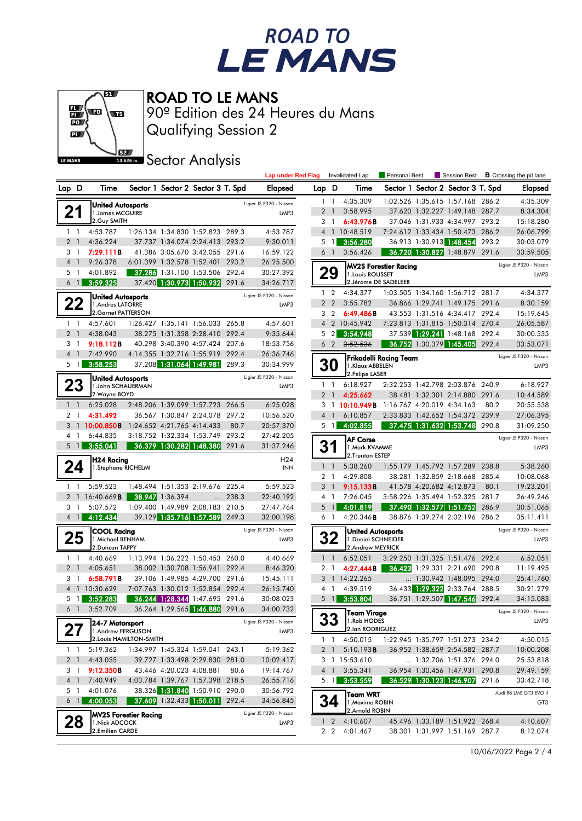## ROAD TO<br>LE MANS



ROAD TO LE MANS

Qualifying Session 2 90º Edition des 24 Heures du Mans

**J**<br>Issuem Sector Analysis

|                            |                                           |                                |                 |                                                                    |       | <b>Lap under Red Flag</b> |       |                            | Invalidated Lap                   | Personal Best                |                                                              |       | Session Best <b>B</b> Crossing the pit lane |
|----------------------------|-------------------------------------------|--------------------------------|-----------------|--------------------------------------------------------------------|-------|---------------------------|-------|----------------------------|-----------------------------------|------------------------------|--------------------------------------------------------------|-------|---------------------------------------------|
| Lap D                      | Time                                      |                                |                 | Sector 1 Sector 2 Sector 3 T. Spd                                  |       | Elapsed                   | Lap D |                            | Time                              |                              | Sector 1 Sector 2 Sector 3 T. Spd                            |       | Elapsed                                     |
|                            | <b>United Autosports</b>                  |                                |                 |                                                                    |       | Ligier JS P320 - Nissan   |       | $1\quad$                   | 4:35.309                          |                              | 1:02.526 1:35.615 1:57.168 286.2                             |       | 4:35.309                                    |
| 21                         | 1. James MCGUIRE                          |                                |                 |                                                                    |       | LMP3                      |       | 2 <sub>1</sub>             | 3:58.995                          |                              | 37.620 1:32.227 1:49.148 287.7                               |       | 8:34.304                                    |
|                            | 2. Guy SMITH                              |                                |                 |                                                                    |       |                           |       | 3 <sub>1</sub>             | 6:43.976B                         |                              | 37.046 1:31.933 4:34.997 293.2                               |       | 15:18.280                                   |
| $1\quad$                   | 4:53.787                                  |                                |                 | 1:26.134 1:34.830 1:52.823 289.3                                   |       | 4:53.787                  |       |                            | 4 1 10:48.519                     |                              | 7:24.612 1:33.434 1:50.473 286.2                             |       | 26:06.799                                   |
| 2 <sub>1</sub>             | 4:36.224                                  |                                |                 | 37.737 1:34.074 2:24.413 293.2                                     |       | 9:30.011                  |       | 5 <sub>1</sub>             | 3:56.280                          |                              | 36.913 1:30.913 1:48.454 293.2                               |       | 30:03.079                                   |
| 3 1                        | 7:29.111B                                 |                                |                 | 41.386 3:05.670 3:42.055 291.6                                     |       | 16:59.122                 |       | 6 1                        | 3:56.426                          |                              | 36.720 1:30.827 1:48.879 291.6                               |       | 33:59.505                                   |
| 4 1                        | 9:26.378                                  |                                |                 | 6:01.399 1:32.578 1:52.401 293.2                                   |       | 26:25.500                 |       |                            |                                   | <b>MV2S Forestier Racing</b> |                                                              |       | Ligier JS P320 - Nissan                     |
| 5 1                        | 4:01.892                                  |                                |                 | 37.286 1:31.100 1:53.506 292.4                                     |       | 30:27.392                 |       | 29                         | 1. Louis ROUSSET                  |                              |                                                              |       | LMP3                                        |
| 6 1                        | 3:59.325                                  |                                |                 | 37.420 1:30.973 1:50.932 291.6                                     |       | 34:26.717                 |       |                            |                                   | 2. Jérome DE SADELEER        |                                                              |       |                                             |
|                            | <b>United Autosports</b>                  |                                |                 |                                                                    |       | Ligier JS P320 - Nissan   |       | $1\quad 2$                 | 4:34.377                          |                              | 1:03.505 1:34.160 1:56.712 281.7                             |       | 4:34.377                                    |
| 22                         | 1.Andres LATORRE                          |                                |                 |                                                                    |       | LMP3                      |       | 2 <sub>2</sub>             | 3:55.782                          |                              | 36.866 1:29.741 1:49.175 291.6                               |       | 8:30.159                                    |
|                            | 2. Garnet PATTERSON                       |                                |                 |                                                                    |       |                           |       | 3 <sub>2</sub>             | 6:49.486B                         |                              | 43.553 1:31.516 4:34.417 292.4                               |       | 15:19.645                                   |
| $1\quad$                   | 4:57.601                                  |                                |                 | 1:26.427 1:35.141 1:56.033 265.8                                   |       | 4:57.601                  |       |                            | 4 2 10:45.942                     |                              | 7:23.813 1:31.815 1:50.314 270.4                             |       | 26:05.587                                   |
| 2 <sub>1</sub>             | 4:38.043                                  |                                |                 | 38.275 1:31.358 2:28.410 292.4                                     |       | 9:35.644                  |       | 5 <sub>2</sub>             | 3:54.948                          |                              | 37.539 1:29.241 1:48.168 292.4                               |       | 30:00.535                                   |
| 31                         | 9:18.112B                                 |                                |                 | 40.298 3:40.390 4:57.424 207.6                                     |       | 18:53.756                 |       | 6 <sub>2</sub>             | 3:52.536                          |                              | 36.752 1:30.379 1:45.405 292.4                               |       | 33:53.071                                   |
| 4 <sub>1</sub>             | 7:42.990                                  |                                |                 | 4:14.355 1:32.716 1:55.919 292.4                                   |       | 26:36.746<br>30:34.999    |       |                            |                                   | Frikadelli Racing Team       |                                                              |       | Ligier JS P320 - Nissan                     |
| 5 1                        | 3:58.253                                  |                                |                 | 37.208 1:31.064 1:49.981 289.3                                     |       |                           |       | <b>30</b>                  | 1.Klaus ABBELEN<br>2.Felipe LASER |                              |                                                              |       | LMP3                                        |
|                            | <b>United Autosports</b>                  |                                |                 |                                                                    |       | Ligier JS P320 - Nissan   |       | $1\quad$                   | 6:18.927                          |                              | 2:32.253 1:42.798 2:03.876 240.9                             |       | 6:18.927                                    |
| 23                         | 1.John SCHAUERMAN<br>2. Wayne BOYD        |                                |                 |                                                                    |       | LMP3                      |       | 2 <sub>1</sub>             | 4:25.662                          |                              | 38.481 1:32.301 2:14.880 291.6                               |       | 10:44.589                                   |
| $1\quad1$                  | 6:25.028                                  |                                |                 | 2:48.206 1:39.099 1:57.723 266.5                                   |       | 6:25.028                  |       |                            | 3 1 10:10.949B                    | 1:16.767 4:20.019 4:34.163   |                                                              | 80.2  | 20:55.538                                   |
| 2 <sub>1</sub>             | 4:31.492                                  |                                |                 | 36.567 1:30.847 2:24.078 297.2                                     |       | 10:56.520                 |       | 4 <sup>1</sup>             | 6:10.857                          |                              | 2:33.833 1:42.652 1:54.372 239.9                             |       | 27:06.395                                   |
| 3                          | $1$ 10:00.850B 1:24.652 4:21.765 4:14.433 |                                |                 |                                                                    | 80.7  | 20:57.370                 |       | 5 <sub>1</sub>             | 4:02.855                          |                              | 37.475 1:31.632 1:53.748                                     | 290.8 | 31:09.250                                   |
| 41                         | 6:44.835                                  |                                |                 | 3:18.752 1:32.334 1:53.749 293.2                                   |       | 27:42.205                 |       |                            |                                   |                              |                                                              |       | Ligier JS P320 - Nissan                     |
| 5 <sub>1</sub>             | 3:55.041                                  |                                |                 | 36.379 1:30.282 1:48.380                                           | 291.6 | 31:37.246                 |       | 31                         | <b>AF Corse</b><br>1.Mark KVAMME  |                              |                                                              |       | LMP3                                        |
|                            | H24 Racing                                |                                |                 |                                                                    |       | H <sub>24</sub>           |       |                            | 2.Trenton ESTEP                   |                              |                                                              |       |                                             |
| 24                         | 1. Stéphane RICHELMI                      |                                |                 |                                                                    |       | <b>INN</b>                |       | $1\quad$                   | 5:38.260                          |                              | 1:55.179 1:45.792 1:57.289 238.8                             |       | 5:38.260                                    |
|                            |                                           |                                |                 |                                                                    |       |                           |       | 2 <sub>1</sub>             | 4:29.808                          |                              | 38.281 1:32.859 2:18.668 285.4                               |       | 10:08.068                                   |
| $1\quad$                   | 5:59.523                                  |                                |                 | 1:48.494 1:51.353 2:19.676 225.4                                   |       | 5:59.523                  | 3     | $\overline{1}$             | 9:15.133B                         |                              | 41.578 4:20.682 4:12.873                                     | 80.1  | 19:23.201                                   |
| 2 1                        | 16:40.669 <b>B</b>                        |                                | 38.947 1:36.394 | $\cdots$                                                           | 238.3 | 22:40.192                 |       | 4 1                        | 7:26.045                          |                              | 3:58.226 1:35.494 1:52.325 281.7                             |       | 26:49.246                                   |
| 3 1                        | 5:07.572                                  |                                |                 | 1:09.400 1:49.989 2:08.183 210.5                                   |       | 27:47.764                 | 5     | $\overline{1}$             | 4:01.819                          |                              | 37.490 1:32.577 1:51.752                                     | 286.9 | 30:51.065                                   |
| $4 \mid$                   | 4:12.434                                  |                                |                 | 39.129 1:35.716 1:57.589 249.3                                     |       | 32:00.198                 |       | 6 1                        | 4:20.346B                         |                              | 38.876 1:39.274 2:02.196 286.2                               |       | 35:11.411                                   |
|                            | <b>COOL Racing</b>                        |                                |                 |                                                                    |       | Ligier JS P320 - Nissan   |       |                            | <b>United Autosports</b>          |                              |                                                              |       | Ligier JS P320 - Nissan                     |
| 25                         | 1. Michael BENHAM                         |                                |                 |                                                                    |       | LMP3                      |       | 32                         | 1. Daniel SCHNEIDER               |                              |                                                              |       | LMP3                                        |
|                            | 2.Duncan TAPPY                            |                                |                 |                                                                    |       |                           |       |                            | 2.Andrew MEYRICK                  |                              |                                                              |       |                                             |
| $1\quad$<br>2 <sub>1</sub> | 4:40.669<br>4:05.651                      |                                |                 | 1:13.994 1:36.222 1:50.453 260.0<br>38.002 1:30.708 1:56.941 292.4 |       | 4:40.669<br>8:46.320      |       | $1\quad$<br>2 <sub>1</sub> | 6:52.051<br>4:27.444B             |                              | 3:29.250 1:31.325 1:51.476<br>36.423 1:29.331 2:21.690 290.8 | 292.4 | 6:52.051<br>11:19.495                       |
| 31                         | 6:58.791B                                 |                                |                 | 39.106 1:49.985 4:29.700 291.6                                     |       | 15:45.111                 |       |                            | 3 1 14:22.265                     |                              | $\ldots$ 1:30.942 1:48.095 294.0                             |       | 25:41.760                                   |
|                            | 4 1 10:30.629                             |                                |                 | 7:07.763 1:30.012 1:52.854 292.4                                   |       | 26:15.740                 |       | 4 <sup>1</sup>             | 4:39.519                          |                              | 36.433 1:29.322 2:33.764 288.5                               |       | 30:21.279                                   |
| 5 1                        | 3:52.283                                  |                                |                 | 36.244 1:28.344 1:47.695 291.6                                     |       | 30:08.023                 |       | 5 <sub>1</sub>             | 3:53.804                          |                              | 36.751 1:29.507 1:47.546 292.4                               |       | 34:15.083                                   |
|                            | 6 1 3:52.709                              | 36.264 1:29.565 1:46.880 291.6 |                 |                                                                    |       | 34:00.732                 |       |                            |                                   |                              |                                                              |       |                                             |
|                            |                                           |                                |                 |                                                                    |       | Ligier JS P320 - Nissan   |       | <b>33</b>                  | Team Virage<br>1.Rob HODES        |                              |                                                              |       | Ligier JS P320 - Nissan<br>LMP3             |
|                            | 24-7 Motorsport<br>1.Andrew FERGUSON      |                                |                 |                                                                    |       | LMP3                      |       |                            | 2.lan RODRIGUEZ                   |                              |                                                              |       |                                             |
|                            |                                           | 2. Louis HAMILTON-SMITH        |                 |                                                                    |       |                           |       | $1\quad1$                  | 4:50.015                          |                              | 1:22.945 1:35.797 1:51.273 234.2                             |       | 4:50.015                                    |
| $1\quad1$                  | 5:19.362                                  |                                |                 | 1:34.997 1:45.324 1:59.041 243.1                                   |       | 5:19.362                  |       | 2 <sub>1</sub>             | 5:10.193B                         |                              | 36.952 1:38.659 2:54.582 287.7                               |       | 10:00.208                                   |
| 2 <sub>1</sub>             | 4:43.055                                  |                                |                 | 39.727 1:33.498 2:29.830 281.0                                     |       | 10:02.417                 |       |                            | 3 1 15:53.610                     |                              | 1:32.706 1:51.376 294.0                                      |       | 25:53.818                                   |
| 31                         | 9:12.350B                                 |                                |                 | 43.446 4:20.023 4:08.881                                           | 80.6  | 19:14.767                 |       | 4 1                        | 3:55.341                          |                              | 36.954 1:30.456 1:47.931 290.8                               |       | 29:49.159                                   |
| 4 <sup>1</sup>             | 7:40.949                                  |                                |                 | 4:03.784 1:39.767 1:57.398 218.5                                   |       | 26:55.716                 |       | $5 \vert 1 \vert$          | 3:53.559                          |                              | 36.529 1:30.123 1:46.907 291.6                               |       | 33:42.718                                   |
| 5 1                        | 4:01.076                                  |                                |                 | 38.326 1:31.840 1:50.910 290.0                                     |       | 30:56.792                 |       |                            | Team WRT                          |                              |                                                              |       | Audi R8 LMS GT3 EVO II                      |
| 6 1                        | 4:00.053                                  |                                |                 | 37.609 1:32.433 1:50.011 292.4                                     |       | 34:56.845                 |       | 34                         | 1. Maxime ROBIN                   |                              |                                                              |       | GT <sub>3</sub>                             |
|                            |                                           | <b>MV2S Forestier Racing</b>   |                 |                                                                    |       | Ligier JS P320 - Nissan   |       |                            | 2.Arnold ROBIN                    |                              |                                                              |       |                                             |
| 28                         | 1. Nick ADCOCK                            |                                |                 |                                                                    |       | LMP3                      |       | $1\quad2$                  | 4:10.607                          |                              | 45.496 1:33.189 1:51.922 268.4                               |       | 4:10.607                                    |
|                            | 2.Emilien CARDE                           |                                |                 |                                                                    |       |                           |       |                            | 2 2 4:01.467                      |                              | 38.301 1:31.997 1:51.169 287.7                               |       | 8:12.074                                    |
|                            |                                           |                                |                 |                                                                    |       |                           |       |                            |                                   |                              |                                                              |       |                                             |

10/06/2022 Page 2 / 4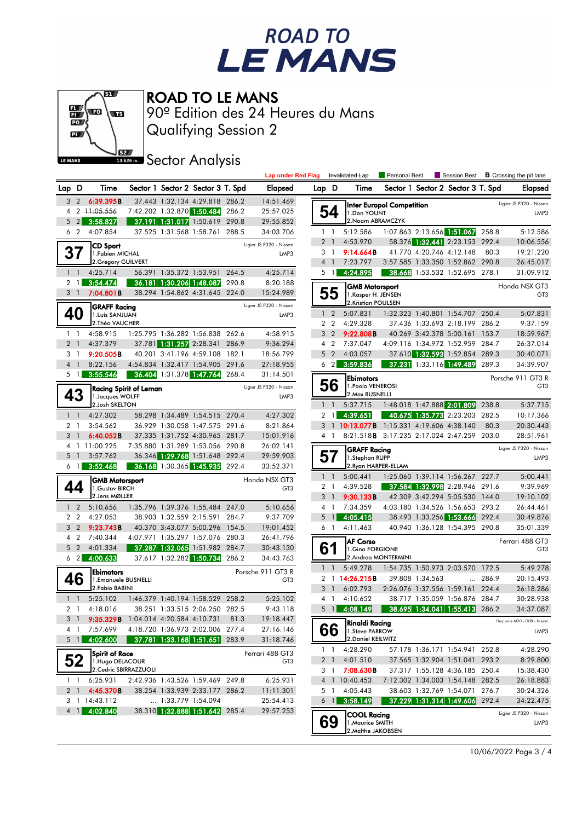



ROAD TO LE MANS

Qualifying Session 2 90º Edition des 24 Heures du Mans

**Sector Analysis** 

|                |                   |                                          |                            |                                                                  |       | <b>Lap under Red Flag</b>        |                |                | Invalidated Lap                           | Personal Best                              |                 |                                                                    |                | Session Best <b>B</b> Crossing the pit lane |
|----------------|-------------------|------------------------------------------|----------------------------|------------------------------------------------------------------|-------|----------------------------------|----------------|----------------|-------------------------------------------|--------------------------------------------|-----------------|--------------------------------------------------------------------|----------------|---------------------------------------------|
| Lap D          |                   | Time                                     |                            | Sector 1 Sector 2 Sector 3 T. Spd                                |       | <b>Elapsed</b>                   | Lap D          |                | Time                                      |                                            |                 | Sector 1 Sector 2 Sector 3 T. Spd                                  |                | Elapsed                                     |
|                | 3 2               | 6:39.395B                                |                            | 37.443 1:32.134 4:29.818 286.2                                   |       | 14:51.469                        |                |                |                                           | Inter Europol Competition                  |                 |                                                                    |                | Ligier JS P320 - Nissan                     |
|                |                   | 4 2 11:05:556                            |                            | 7:42.202 1:32.870 1:50.484 286.2                                 |       | 25:57.025                        |                | 54             | 1.Don YOUNT                               |                                            |                 |                                                                    |                | LMP3                                        |
|                | 5 <sub>2</sub>    | 3:58.827                                 |                            | 37.191 1:31.017 1:50.619 290.8                                   |       | 29:55.852                        |                |                | 2. Noam ABRAMCZYK                         |                                            |                 |                                                                    |                |                                             |
|                | 6 <sub>2</sub>    | 4:07.854                                 |                            | 37.525 1:31.568 1:58.761 288.5                                   |       | 34:03.706                        |                | $1\quad1$      | 5:12.586                                  |                                            |                 | 1:07.863 2:13.656 1:51.067                                         | 258.8          | 5:12.586                                    |
|                |                   | CD Sport                                 |                            |                                                                  |       | Ligier JS P320 - Nissan          | 2 <sub>1</sub> |                | 4:53.970                                  |                                            |                 | 58.376 1:32.441 2:23.153 292.4                                     |                | 10:06.556                                   |
|                |                   | 1. Fabien MICHAL                         |                            |                                                                  |       | LMP3                             |                | 3 1            | 9:14.664B                                 |                                            |                 | 41.770 4:20.746 4:12.148                                           | 80.3           | 19:21.220                                   |
|                |                   | 2. Grégory GUILVERT<br>4:25.714          |                            |                                                                  |       |                                  | 4 <sup>1</sup> | $5 \text{ } 1$ | 7:23.797                                  |                                            |                 | 3:57.585 1:33.350 1:52.862 290.8<br>38.668 1:53.532 1:52.695 278.1 |                | 26:45.017                                   |
| 2 <sub>1</sub> | 1 <sup>1</sup>    | 3:54.474                                 |                            | 56.391 1:35.372 1:53.951 264.5<br>36.181 1:30.206 1:48.087       | 290.8 | 4:25.714<br>8:20.188             |                |                | 4:24.895                                  |                                            |                 |                                                                    |                | 31:09.912                                   |
|                | 3 <sup>1</sup>    | 7:04.801B                                |                            | 38.294 1:54.862 4:31.645 224.0                                   |       | 15:24.989                        |                | 55             | <b>GMB Motorsport</b>                     |                                            |                 |                                                                    |                | Honda NSX GT3                               |
|                |                   |                                          |                            |                                                                  |       | Ligier JS P320 - Nissan          |                |                | 1. Kasper H. JENSEN<br>2.Kristian POULSEN |                                            |                 |                                                                    |                | GT <sub>3</sub>                             |
|                | 40                | <b>GRAFF Racing</b><br>1.Luis SANJUAN    |                            |                                                                  |       | LMP3                             |                | $1\quad 2$     | 5:07.831                                  |                                            |                 | 1:32.323 1:40.801 1:54.707 250.4                                   |                | 5:07.831                                    |
|                |                   | 2. Théo VAUCHER                          |                            |                                                                  |       |                                  |                | 2 2            | 4:29.328                                  |                                            |                 | 37.436 1:33.693 2:18.199 286.2                                     |                | 9:37.159                                    |
|                | $1\quad$          | 4:58.915                                 |                            | 1:25.795 1:36.282 1:56.838 262.6                                 |       | 4:58.915                         |                | 3 <sub>2</sub> | 9:22.808B                                 |                                            |                 | 40.269 3:42.378 5:00.161 153.7                                     |                | 18:59.967                                   |
| 2 <sub>1</sub> |                   | 4:37.379                                 |                            | 37.781 1:31.257 2:28.341 286.9                                   |       | 9:36.294                         |                | 4 <sup>2</sup> | 7:37.047                                  |                                            |                 | 4:09.116 1:34.972 1:52.959 284.7                                   |                | 26:37.014                                   |
|                | 3 1               | 9:20.505B                                |                            | 40.201 3:41.196 4:59.108 182.1                                   |       | 18:56.799                        |                | 5 <sub>2</sub> | 4:03.057                                  |                                            |                 | 37.610 1:32.593 1:52.854 289.3                                     |                | 30:40.071                                   |
| 4 <sub>1</sub> |                   | 8:22.156                                 |                            | 4:54.834 1:32.417 1:54.905 291.6                                 |       | 27:18.955                        |                | $6\quad2$      | 3:59.836                                  |                                            |                 | 37.231 1:33.116 1:49.489                                           | 289.3          | 34:39.907                                   |
|                | 5 1               | 3:55.546                                 |                            | 36.404 1:31.378 1:47.764 268.4                                   |       | 31:14.501                        |                |                | <b>Ebimotors</b>                          |                                            |                 |                                                                    |                | Porsche 911 GT3 R                           |
|                |                   | <b>Racing Spirit of Leman</b>            |                            |                                                                  |       | Ligier JS P320 - Nissan          |                | 56             | 1. Paolo VENEROSI                         |                                            |                 |                                                                    |                | GT <sub>3</sub>                             |
|                |                   | 1. Jacques WOLFF                         |                            |                                                                  |       | LMP3                             |                |                | 2. Max BUSNELLI                           |                                            |                 |                                                                    |                |                                             |
|                |                   | 2. Josh SKELTON                          |                            |                                                                  |       |                                  |                | $1\quad$       | 5:37.715                                  |                                            |                 | 1:48.018 1:47.888 2:01.809 238.8                                   |                | 5:37.715                                    |
| 2 <sub>1</sub> | $1\quad$          | 4:27.302<br>3:54.562                     |                            | 58.298 1:34.489 1:54.515 270.4<br>36.929 1:30.058 1:47.575 291.6 |       | 4:27.302                         |                | 2 <sub>1</sub> | 4:39.651                                  |                                            |                 | 40.675 1:35.773 2:23.203 282.5                                     | 80.3           | 10:17.366                                   |
| $3-1$          |                   | 6:40.052B                                |                            | 37.335 1:31.752 4:30.965 281.7                                   |       | 8:21.864<br>15:01.916            |                | 4 1            | 3 1 10:13.077B 1:15.331 4:19.606 4:38.140 | 8:21.518B 3:17.235 2:17.024 2:47.259 203.0 |                 |                                                                    |                | 20:30.443<br>28:51.961                      |
|                |                   | 4 1 11:00.225                            |                            | 7:35.880 1:31.289 1:53.056 290.8                                 |       | 26:02.141                        |                |                |                                           |                                            |                 |                                                                    |                |                                             |
|                | 5 <sub>1</sub>    | 3:57.762                                 |                            | 36.346 1:29.768 1:51.648 292.4                                   |       | 29:59.903                        | 57             |                | <b>GRAFF Racing</b>                       |                                            |                 |                                                                    |                | Ligier JS P320 - Nissan<br>LMP3             |
|                | 6 1               | 3:52.468                                 |                            | 36.168 1:30.365 1:45.935 292.4                                   |       | 33:52.371                        |                |                | 1.Stephan RUPP                            | 2. Ryan HARPER-ELLAM                       |                 |                                                                    |                |                                             |
|                |                   |                                          |                            |                                                                  |       |                                  | $1\quad$       |                | 5:00.441                                  |                                            |                 | 1:25.060 1:39.114 1:56.267 227.7                                   |                | 5:00.441                                    |
|                | 44                | <b>GMB Motorsport</b><br>1. Gustav BIRCH |                            |                                                                  |       | Honda NSX GT3<br>GT <sub>3</sub> |                | 2 <sub>1</sub> | 4:39.528                                  |                                            |                 | 37.584 1:32.998 2:28.946 291.6                                     |                | 9:39.969                                    |
|                |                   | 2. Jens MØLLER                           |                            |                                                                  |       |                                  | 3 <sup>1</sup> |                | 9:30.133B                                 |                                            |                 | 42.309 3:42.294 5:05.530 144.0                                     |                | 19:10.102                                   |
|                | 1 <sub>2</sub>    | 5:10.656                                 |                            | 1:35.796 1:39.376 1:55.484 247.0                                 |       | 5:10.656                         |                | 4 1            | 7:34.359                                  |                                            |                 | 4:03.180 1:34.526 1:56.653 293.2                                   |                | 26:44.461                                   |
|                | 2 <sub>2</sub>    | 4:27.053                                 |                            | 38.903 1:32.559 2:15.591 284.7                                   |       | 9:37.709                         | 5              | $\mathbf{1}$   | 4:05.415                                  |                                            |                 | 38.493 1:33.256 1:53.666                                           | 292.4          | 30:49.876                                   |
|                | 3 <sub>2</sub>    | 9:23.743B                                |                            | 40.370 3:43.077 5:00.296 154.5                                   |       | 19:01.452                        |                | 61             | 4:11.463                                  |                                            |                 | 40.940 1:36.128 1:54.395 290.8                                     |                | 35:01.339                                   |
|                | 4 <sup>2</sup>    | 7:40.344                                 |                            | 4:07.971 1:35.297 1:57.076 280.3                                 |       | 26:41.796                        |                |                | <b>AF Corse</b>                           |                                            |                 |                                                                    |                | Ferrari 488 GT3                             |
|                | 5 <sub>2</sub>    | 4:01.334                                 |                            | 37.287 1:32.065 1:51.982 284.7                                   |       | 30:43.130                        | 61             |                | 1.Gino FORGIONE                           |                                            |                 |                                                                    |                | GT <sub>3</sub>                             |
|                | $6\quad2$         | 4:00.633                                 |                            | 37.617 1:32.282 1:50.734 286.2                                   |       | 34:43.763                        |                |                |                                           | 2. Andrea MONTERMINI                       |                 |                                                                    |                |                                             |
|                |                   | <b>Ebimotors</b>                         |                            |                                                                  |       | Porsche 911 GT3 R                |                | $1\quad$       | 5:49.278                                  |                                            |                 | 1:54.735 1:50.973 2:03.570 172.5                                   |                | 5:49.278<br>20:15.493                       |
|                | 46                | 1.Emanuele BUSNELLI<br>2. Fabio BABINI   |                            |                                                                  |       | GT <sub>3</sub>                  | 3 <sup>1</sup> |                | 2 1 14:26.215B<br>6:02.793                |                                            | 39.808 1:34.563 | 2:26.076 1:37.556 1:59.161                                         | 286.9<br>224.4 | 26:18.286                                   |
|                | $1\quad$          | 5:25.102                                 |                            | 1:46.379 1:40.194 1:58.529 258.2                                 |       | 5:25.102                         |                |                | 4 1 4:10.652                              |                                            |                 | 38.717 1:35.059 1:56.876 284.7                                     |                | 30:28.938                                   |
|                |                   | 2 1 4:18.016                             |                            | 38.251 1:33.515 2:06.250 282.5                                   |       | 9:43.118                         |                |                | 5 1 4:08.149                              | $38.695$ 1:34.041 1:55.413 286.2           |                 |                                                                    |                | 34:37.087                                   |
|                | 3 <sup>1</sup>    | 9:35.329B                                |                            | 1:04.014 4:20.584 4:10.731 81.3                                  |       | 19:18.447                        |                |                |                                           |                                            |                 |                                                                    |                | Duqueine M30 - D08 - Nissan                 |
|                | 4 1               | 7:57.699                                 |                            | 4:18.720 1:36.973 2:02.006 277.4                                 |       | 27:16.146                        |                | 66             | Rinaldi Racina<br>1.Steve PARROW          |                                            |                 |                                                                    |                | LMP3                                        |
|                | $5 \vert 1 \vert$ | 4:02.600                                 |                            | 37.781 1:33.168 1:51.651 283.9                                   |       | 31:18.746                        |                |                | 2. Daniel KEILWITZ                        |                                            |                 |                                                                    |                |                                             |
|                |                   | <b>Spirit of Race</b>                    |                            |                                                                  |       | Ferrari 488 GT3                  |                |                | 1 1 4:28.290                              |                                            |                 | 57.178 1:36.171 1:54.941 252.8                                     |                | 4:28.290                                    |
|                | 52                | 1. Hugo DELACOUR                         |                            |                                                                  |       | GT3                              |                |                | 2 1 4:01.510                              |                                            |                 | 37.565 1:32.904 1:51.041 293.2                                     |                | 8:29.800                                    |
|                |                   | 2. Cedric SBIRRAZZUOLI                   |                            |                                                                  |       |                                  |                |                | 3 1 <b>7:08.630B</b>                      |                                            |                 | 37.317 1:55.128 4:36.185 250.4                                     |                | 15:38.430                                   |
| 1 <sub>1</sub> |                   | 6:25.931                                 |                            | 2:42.936 1:43.526 1:59.469 249.8                                 |       | 6:25.931                         |                |                | 4 1 10:40.453                             |                                            |                 | 7:12.302 1:34.003 1:54.148 282.5                                   |                | 26:18.883                                   |
|                |                   | 2 1 4:45.370B                            |                            | 38.254 1:33.939 2:33.177 286.2                                   |       | 11:11.301                        |                |                | 5 1 4:05.443                              |                                            |                 | 38.603 1:32.769 1:54.071 276.7                                     |                | 30:24.326                                   |
|                |                   | 3 1 14:43.112                            | $\ldots$ 1:33.779 1:54.094 |                                                                  |       | 25:54.413                        |                | $6 \mid$       | 3:58.149                                  |                                            |                 | 37.229 1:31.314 1:49.606 292.4                                     |                | 34:22.475                                   |
|                | 4 1               | 4:02.840                                 |                            | 38.310 1:32.888 1:51.642 285.4                                   |       | 29:57.253                        |                |                | <b>COOL Racing</b>                        |                                            |                 |                                                                    |                | Ligier JS P320 - Nissan                     |
|                |                   |                                          |                            |                                                                  |       |                                  |                | 69             | 1. Maurice SMITH<br>2. Malthe JAKOBSEN    |                                            |                 |                                                                    |                | LMP3                                        |
|                |                   |                                          |                            |                                                                  |       |                                  |                |                |                                           |                                            |                 |                                                                    |                |                                             |

10/06/2022 Page 3 / 4